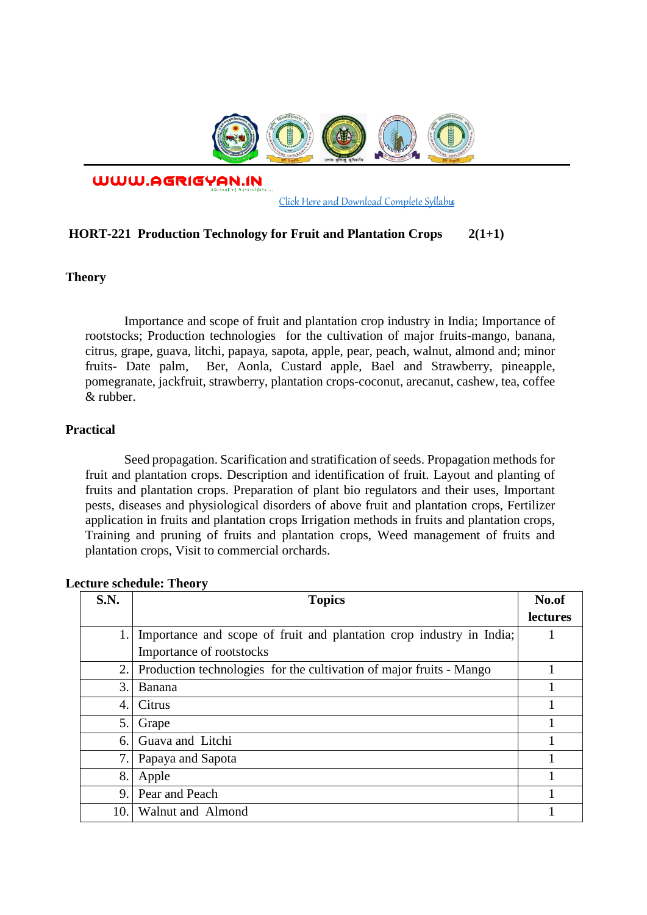

WWW.AGRIGYAN.IN

[Click Here and Download Complete Syllabus](http://agrigyan.in/)

## **HORT-221 Production Technology for Fruit and Plantation Crops 2(1+1)**

#### **Theory**

 $\overline{a}$ 

Importance and scope of fruit and plantation crop industry in India; Importance of rootstocks; Production technologies for the cultivation of major fruits-mango, banana, citrus, grape, guava, litchi, papaya, sapota, apple, pear, peach, walnut, almond and; minor fruits- Date palm, Ber, Aonla, Custard apple, Bael and Strawberry, pineapple, pomegranate, jackfruit, strawberry, plantation crops-coconut, arecanut, cashew, tea, coffee & rubber.

## **Practical**

Seed propagation. Scarification and stratification of seeds. Propagation methods for fruit and plantation crops. Description and identification of fruit. Layout and planting of fruits and plantation crops. Preparation of plant bio regulators and their uses, Important pests, diseases and physiological disorders of above fruit and plantation crops, Fertilizer application in fruits and plantation crops Irrigation methods in fruits and plantation crops, Training and pruning of fruits and plantation crops, Weed management of fruits and plantation crops, Visit to commercial orchards.

| <b>S.N.</b>      | <b>Topics</b>                                                          | No.of           |
|------------------|------------------------------------------------------------------------|-----------------|
|                  |                                                                        | <b>lectures</b> |
| 1.1              | Importance and scope of fruit and plantation crop industry in India;   |                 |
|                  | Importance of rootstocks                                               |                 |
|                  | 2. Production technologies for the cultivation of major fruits - Mango |                 |
| 3.               | Banana                                                                 |                 |
| $\overline{4}$ . | Citrus                                                                 |                 |
| 5.               | Grape                                                                  |                 |
| 6.               | Guava and Litchi                                                       |                 |
| 7.               | Papaya and Sapota                                                      |                 |
| 8.               | Apple                                                                  |                 |
| 9                | Pear and Peach                                                         |                 |
| 10.              | Walnut and Almond                                                      |                 |

#### **Lecture schedule: Theory**